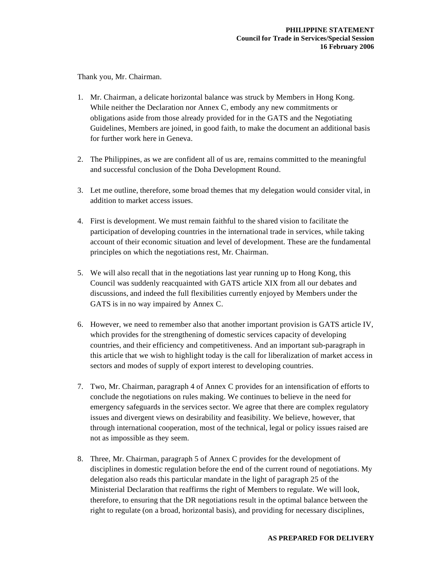Thank you, Mr. Chairman.

- 1. Mr. Chairman, a delicate horizontal balance was struck by Members in Hong Kong. While neither the Declaration nor Annex C, embody any new commitments or obligations aside from those already provided for in the GATS and the Negotiating Guidelines, Members are joined, in good faith, to make the document an additional basis for further work here in Geneva.
- 2. The Philippines, as we are confident all of us are, remains committed to the meaningful and successful conclusion of the Doha Development Round.
- 3. Let me outline, therefore, some broad themes that my delegation would consider vital, in addition to market access issues.
- 4. First is development. We must remain faithful to the shared vision to facilitate the participation of developing countries in the international trade in services, while taking account of their economic situation and level of development. These are the fundamental principles on which the negotiations rest, Mr. Chairman.
- 5. We will also recall that in the negotiations last year running up to Hong Kong, this Council was suddenly reacquainted with GATS article XIX from all our debates and discussions, and indeed the full flexibilities currently enjoyed by Members under the GATS is in no way impaired by Annex C.
- 6. However, we need to remember also that another important provision is GATS article IV, which provides for the strengthening of domestic services capacity of developing countries, and their efficiency and competitiveness. And an important sub-paragraph in this article that we wish to highlight today is the call for liberalization of market access in sectors and modes of supply of export interest to developing countries.
- 7. Two, Mr. Chairman, paragraph 4 of Annex C provides for an intensification of efforts to conclude the negotiations on rules making. We continues to believe in the need for emergency safeguards in the services sector. We agree that there are complex regulatory issues and divergent views on desirability and feasibility. We believe, however, that through international cooperation, most of the technical, legal or policy issues raised are not as impossible as they seem.
- 8. Three, Mr. Chairman, paragraph 5 of Annex C provides for the development of disciplines in domestic regulation before the end of the current round of negotiations. My delegation also reads this particular mandate in the light of paragraph 25 of the Ministerial Declaration that reaffirms the right of Members to regulate. We will look, therefore, to ensuring that the DR negotiations result in the optimal balance between the right to regulate (on a broad, horizontal basis), and providing for necessary disciplines,